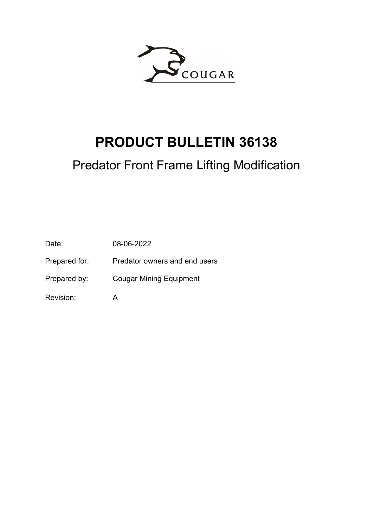

# PRODUCT BULLETIN 36138

# Predator Front Frame Lifting Modification

Date: 08-06-2022

Prepared for: Predator owners and end users

Prepared by: Cougar Mining Equipment

Revision: A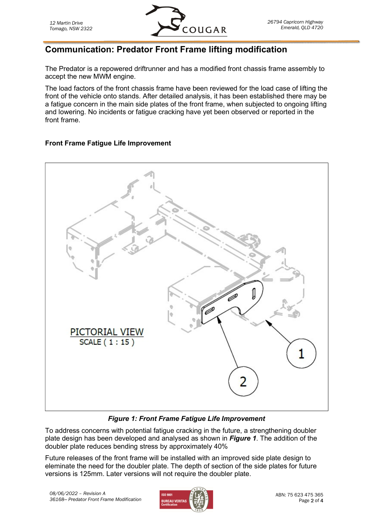

## Communication: Predator Front Frame lifting modification

The Predator is a repowered driftrunner and has a modified front chassis frame assembly to accept the new MWM engine.

The load factors of the front chassis frame have been reviewed for the load case of lifting the front of the vehicle onto stands. After detailed analysis, it has been established there may be a fatigue concern in the main side plates of the front frame, when subjected to ongoing lifting and lowering. No incidents or fatigue cracking have yet been observed or reported in the front frame.

#### Front Frame Fatigue Life Improvement



#### Figure 1: Front Frame Fatigue Life Improvement

To address concerns with potential fatigue cracking in the future, a strengthening doubler plate design has been developed and analysed as shown in Figure 1. The addition of the doubler plate reduces bending stress by approximately 40%

Future releases of the front frame will be installed with an improved side plate design to eleminate the need for the doubler plate. The depth of section of the side plates for future versions is 125mm. Later versions will not require the doubler plate.

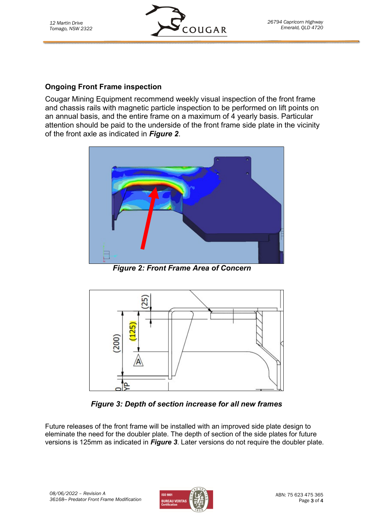

#### Ongoing Front Frame inspection

Cougar Mining Equipment recommend weekly visual inspection of the front frame and chassis rails with magnetic particle inspection to be performed on lift points on an annual basis, and the entire frame on a maximum of 4 yearly basis. Particular attention should be paid to the underside of the front frame side plate in the vicinity of the front axle as indicated in Figure 2.



Figure 2: Front Frame Area of Concern



Figure 3: Depth of section increase for all new frames

Future releases of the front frame will be installed with an improved side plate design to eleminate the need for the doubler plate. The depth of section of the side plates for future versions is 125mm as indicated in Figure 3. Later versions do not require the doubler plate.